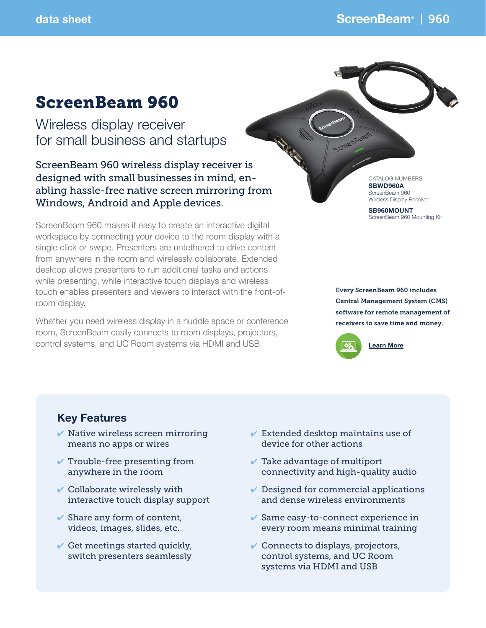# ScreenBeam 960

Wireless display receiver for small business and startups

ScreenBeam 960 wireless display receiver is designed with small businesses in mind, enabling hassle-free native screen mirroring from Windows, Android and Apple devices.

ScreenBeam 960 makes it easy to create an interactive digital workspace by connecting your device to the room display with a single click or swipe. Presenters are untethered to drive content from anywhere in the room and wirelessly collaborate. Extended desktop allows presenters to run additional tasks and actions while presenting, while interactive touch displays and wireless touch enables presenters and viewers to interact with the front-ofroom display.

Whether you need wireless display in a huddle space or conference room, ScreenBeam easily connects to room displays, projectors, control systems, and UC Room systems via HDMI and USB.

CATALOG NUMBERS SBWD960A ScreenBeam 960 Wireless Display Receiver

SB960MOUNT ScreenBeam 960 Mounting Kit

Every ScreenBeam 960 includes Central Management System (CMS) software for remote management of receivers to save time and money.



## Key Features

- $\vee$  Native wireless screen mirroring means no apps or wires
- $\vee$  Trouble-free presenting from anywhere in the room
- $\vee$  Collaborate wirelessly with interactive touch display support
- $\vee$  Share any form of content, videos, images, slides, etc.
- Get meetings started quickly, switch presenters seamlessly
- $\vee$  Extended desktop maintains use of device for other actions
- $\vee$  Take advantage of multiport connectivity and high-quality audio
- $\vee$  Designed for commercial applications and dense wireless environments
- $\vee$  Same easy-to-connect experience in every room means minimal training
- $\vee$  Connects to displays, projectors, control systems, and UC Room systems via HDMI and USB